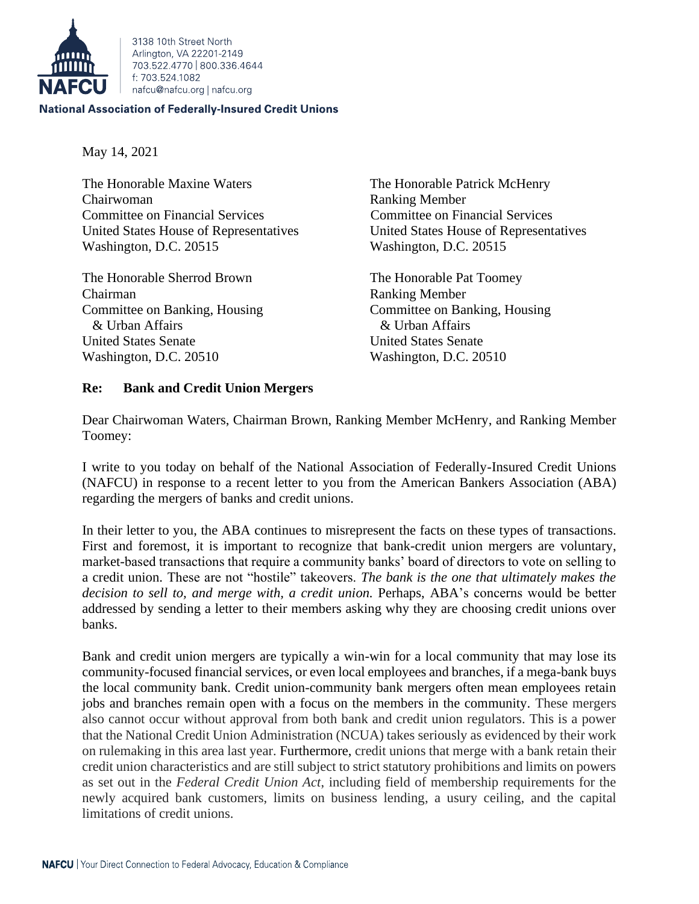

3138 10th Street North Arlington, VA 22201-2149 703 522 4770 800 336 4644 f: 703.524.1082 nafcu@nafcu.org | nafcu.org

## **National Association of Federally-Insured Credit Unions**

May 14, 2021

The Honorable Maxine Waters The Honorable Patrick McHenry Chairwoman Ranking Member Committee on Financial Services Committee on Financial Services Washington, D.C. 20515 Washington, D.C. 20515

The Honorable Sherrod Brown The Honorable Pat Toomey Chairman Ranking Member Committee on Banking, Housing Committee on Banking, Housing & Urban Affairs & Urban Affairs United States Senate United States Senate Washington, D.C. 20510 Washington, D.C. 20510

United States House of Representatives United States House of Representatives

## **Re: Bank and Credit Union Mergers**

Dear Chairwoman Waters, Chairman Brown, Ranking Member McHenry, and Ranking Member Toomey:

I write to you today on behalf of the National Association of Federally-Insured Credit Unions (NAFCU) in response to a recent letter to you from the American Bankers Association (ABA) regarding the mergers of banks and credit unions.

In their letter to you, the ABA continues to misrepresent the facts on these types of transactions. First and foremost, it is important to recognize that bank-credit union mergers are voluntary, market-based transactions that require a community banks' board of directors to vote on selling to a credit union. These are not "hostile" takeovers. *The bank is the one that ultimately makes the decision to sell to, and merge with, a credit union.* Perhaps, ABA's concerns would be better addressed by sending a letter to their members asking why they are choosing credit unions over banks.

Bank and credit union mergers are typically a win-win for a local community that may lose its community-focused financial services, or even local employees and branches, if a mega-bank buys the local community bank. Credit union-community bank mergers often mean employees retain jobs and branches remain open with a focus on the members in the community. These mergers also cannot occur without approval from both bank and credit union regulators. This is a power that the National Credit Union Administration (NCUA) takes seriously as evidenced by their work on rulemaking in this area last year. Furthermore, credit unions that merge with a bank retain their credit union characteristics and are still subject to strict statutory prohibitions and limits on powers as set out in the *Federal Credit Union Act*, including field of membership requirements for the newly acquired bank customers, limits on business lending, a usury ceiling, and the capital limitations of credit unions.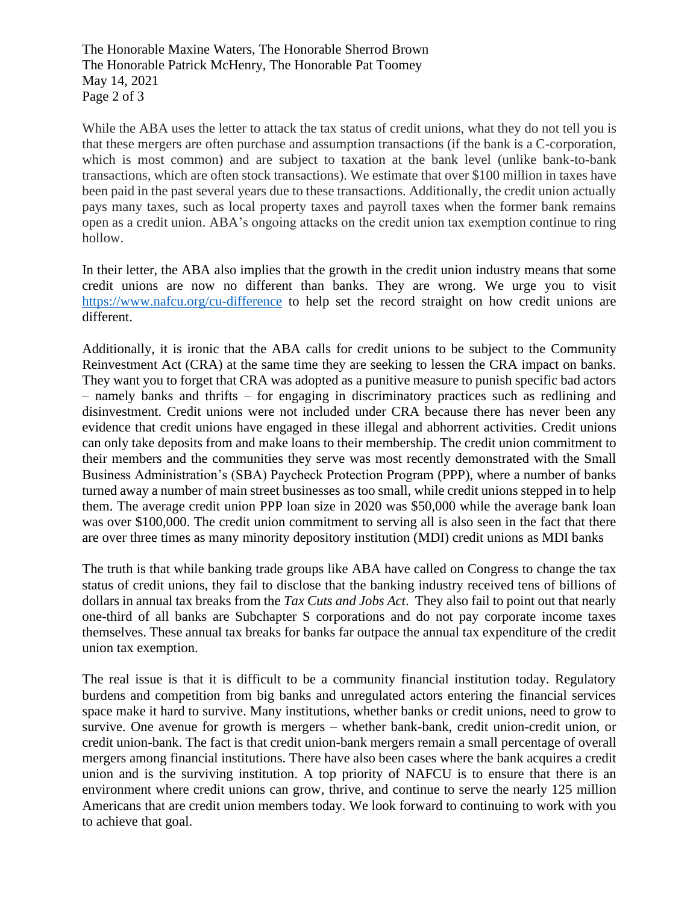The Honorable Maxine Waters, The Honorable Sherrod Brown The Honorable Patrick McHenry, The Honorable Pat Toomey May 14, 2021 Page 2 of 3

While the ABA uses the letter to attack the tax status of credit unions, what they do not tell you is that these mergers are often purchase and assumption transactions (if the bank is a C-corporation, which is most common) and are subject to taxation at the bank level (unlike bank-to-bank transactions, which are often stock transactions). We estimate that over \$100 million in taxes have been paid in the past several years due to these transactions. Additionally, the credit union actually pays many taxes, such as local property taxes and payroll taxes when the former bank remains open as a credit union. ABA's ongoing attacks on the credit union tax exemption continue to ring hollow.

In their letter, the ABA also implies that the growth in the credit union industry means that some credit unions are now no different than banks. They are wrong. We urge you to visit <https://www.nafcu.org/cu-difference> to help set the record straight on how credit unions are different.

Additionally, it is ironic that the ABA calls for credit unions to be subject to the Community Reinvestment Act (CRA) at the same time they are seeking to lessen the CRA impact on banks. They want you to forget that CRA was adopted as a punitive measure to punish specific bad actors – namely banks and thrifts – for engaging in discriminatory practices such as redlining and disinvestment. Credit unions were not included under CRA because there has never been any evidence that credit unions have engaged in these illegal and abhorrent activities. Credit unions can only take deposits from and make loans to their membership. The credit union commitment to their members and the communities they serve was most recently demonstrated with the Small Business Administration's (SBA) Paycheck Protection Program (PPP), where a number of banks turned away a number of main street businesses as too small, while credit unions stepped in to help them. The average credit union PPP loan size in 2020 was \$50,000 while the average bank loan was over \$100,000. The credit union commitment to serving all is also seen in the fact that there are over three times as many minority depository institution (MDI) credit unions as MDI banks

The truth is that while banking trade groups like ABA have called on Congress to change the tax status of credit unions, they fail to disclose that the banking industry received tens of billions of dollars in annual tax breaks from the *Tax Cuts and Jobs Act*. They also fail to point out that nearly one-third of all banks are Subchapter S corporations and do not pay corporate income taxes themselves. These annual tax breaks for banks far outpace the annual tax expenditure of the credit union tax exemption.

The real issue is that it is difficult to be a community financial institution today. Regulatory burdens and competition from big banks and unregulated actors entering the financial services space make it hard to survive. Many institutions, whether banks or credit unions, need to grow to survive. One avenue for growth is mergers – whether bank-bank, credit union-credit union, or credit union-bank. The fact is that credit union-bank mergers remain a small percentage of overall mergers among financial institutions. There have also been cases where the bank acquires a credit union and is the surviving institution. A top priority of NAFCU is to ensure that there is an environment where credit unions can grow, thrive, and continue to serve the nearly 125 million Americans that are credit union members today. We look forward to continuing to work with you to achieve that goal.